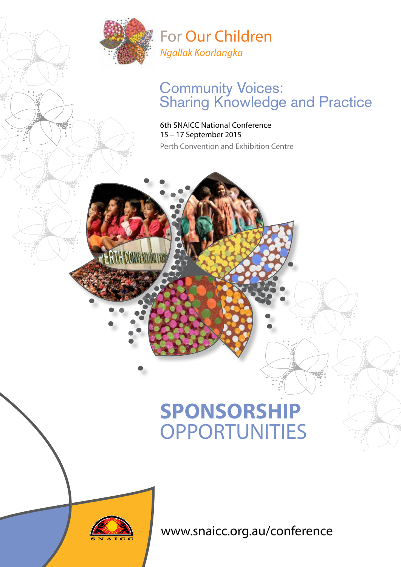

For Our Children *Ngallak Koorlangka*

### Community Voices: **Sharing Knowledge and Practice**

6th SNAICC National Conference 15 – 17 September 2015 Perth Convention and Exhibition Centre

# **SPONSORSHIP OPPORTUNITIES**



<www.snaicc.org.au/conference>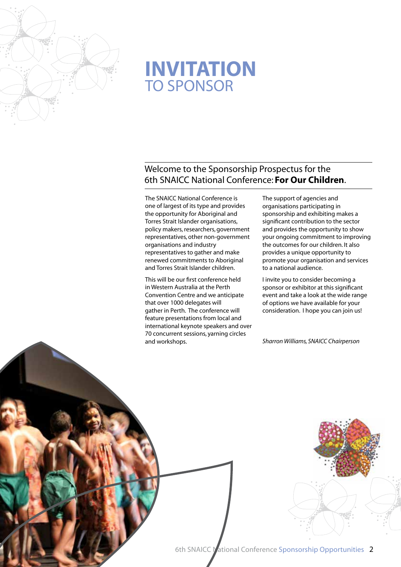

## **INVITATION**  TO SPONSOR

#### Welcome to the Sponsorship Prospectus for the 6th SNAICC National Conference: **For Our Children**.

The SNAICC National Conference is one of largest of its type and provides the opportunity for Aboriginal and Torres Strait Islander organisations, policy makers, researchers, government representatives, other non-government organisations and industry representatives to gather and make renewed commitments to Aboriginal and Torres Strait Islander children.

This will be our first conference held in Western Australia at the Perth Convention Centre and we anticipate that over 1000 delegates will gather in Perth. The conference will feature presentations from local and international keynote speakers and over 70 concurrent sessions, yarning circles and workshops.

The support of agencies and organisations participating in sponsorship and exhibiting makes a significant contribution to the sector and provides the opportunity to show your ongoing commitment to improving the outcomes for our children. It also provides a unique opportunity to promote your organisation and services to a national audience.

I invite you to consider becoming a sponsor or exhibitor at this significant event and take a look at the wide range of options we have available for your consideration. I hope you can join us!

*Sharron Williams, SNAICC Chairperson*

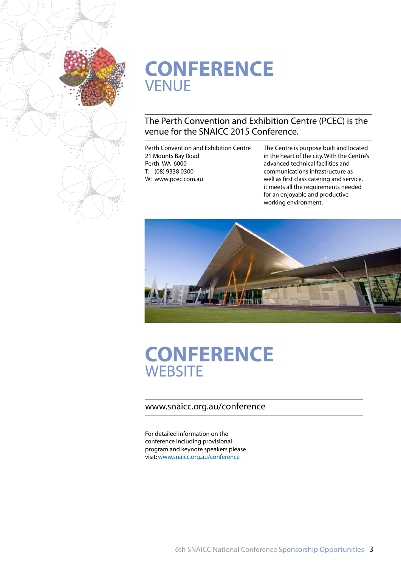

## **CONFERENCE** VENUE

### The Perth Convention and Exhibition Centre (PCEC) is the venue for the SNAICC 2015 Conference.

Perth Convention and Exhibition Centre 21 Mounts Bay Road Perth WA 6000 T: (08) 9338 0300 W: www.pcec.com.au

The Centre is purpose built and located in the heart of the city. With the Centre's advanced technical facilities and communications infrastructure as well as first class catering and service, it meets all the requirements needed for an enjoyable and productive working environment.



### **CONFERENCE WEBSITE**

#### www.snaicc.org.au/conference

For detailed information on the conference including provisional program and keynote speakers please visit: www.snaicc.org.au/conference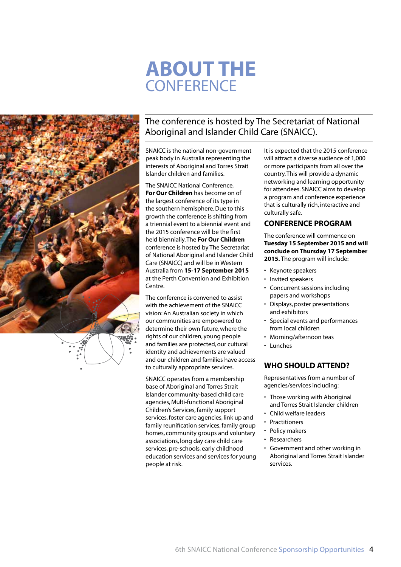# **ABOUT THE CONFERENCE**



### The conference is hosted by The Secretariat of National Aboriginal and Islander Child Care (SNAICC).

SNAICC is the national non-government peak body in Australia representing the interests of Aboriginal and Torres Strait Islander children and families.

The SNAICC National Conference, **For Our Children** has become on of the largest conference of its type in the southern hemisphere. Due to this growth the conference is shifting from a triennial event to a biennial event and the 2015 conference will be the first held biennially. The **For Our Children** conference is hosted by The Secretariat of National Aboriginal and Islander Child Care (SNAICC) and will be in Western Australia from **15-17 September 2015** at the Perth Convention and Exhibition Centre.

The conference is convened to assist with the achievement of the SNAICC vision: An Australian society in which our communities are empowered to determine their own future, where the rights of our children, young people and families are protected, our cultural identity and achievements are valued and our children and families have access to culturally appropriate services.

SNAICC operates from a membership base of Aboriginal and Torres Strait Islander community-based child care agencies, Multi-functional Aboriginal Children's Services, family support services, foster care agencies, link up and family reunification services, family group homes, community groups and voluntary associations, long day care child care services, pre-schools, early childhood education services and services for young people at risk.

It is expected that the 2015 conference will attract a diverse audience of 1,000 or more participants from all over the country. This will provide a dynamic networking and learning opportunity for attendees. SNAICC aims to develop a program and conference experience that is culturally rich, interactive and culturally safe.

#### **CONFERENCE PROGRAM**

The conference will commence on **Tuesday 15 September 2015 and will conclude on Thursday 17 September 2015.** The program will include:

- • Keynote speakers
- Invited speakers
- Concurrent sessions including papers and workshops
- Displays, poster presentations and exhibitors
- • Special events and performances from local children
- Morning/afternoon teas
- • Lunches

#### **WHO SHOULD ATTEND?**

Representatives from a number of agencies/services including:

- Those working with Aboriginal and Torres Strait Islander children
- Child welfare leaders
- **Practitioners**
- Policy makers
- **Researchers**
- • Government and other working in Aboriginal and Torres Strait Islander services.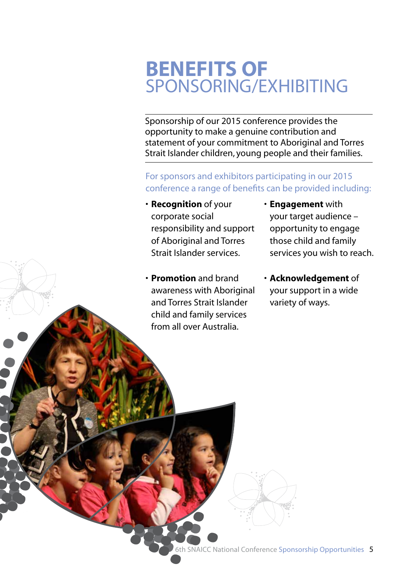# **BENEFITS OF** SPONSORING/EXHIBITING

Sponsorship of our 2015 conference provides the opportunity to make a genuine contribution and statement of your commitment to Aboriginal and Torres Strait Islander children, young people and their families.

For sponsors and exhibitors participating in our 2015 conference a range of benefits can be provided including:

- • **Recognition** of your corporate social responsibility and support of Aboriginal and Torres Strait Islander services.
- • **Promotion** and brand awareness with Aboriginal and Torres Strait Islander child and family services from all over Australia.
- • **Engagement** with your target audience – opportunity to engage those child and family services you wish to reach.
- • **Acknowledgement** of your support in a wide variety of ways.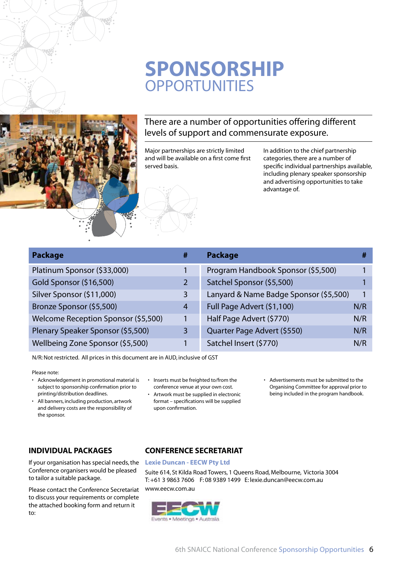## **SPONSORSHIP OPPORTUNITIES**



#### There are a number of opportunities offering different levels of support and commensurate exposure.

Major partnerships are strictly limited and will be available on a first come first served basis.

In addition to the chief partnership categories, there are a number of specific individual partnerships available, including plenary speaker sponsorship and advertising opportunities to take advantage of.

| <b>Package</b>                      | #              | <b>Package</b>                         |     |
|-------------------------------------|----------------|----------------------------------------|-----|
| Platinum Sponsor (\$33,000)         |                | Program Handbook Sponsor (\$5,500)     |     |
| Gold Sponsor (\$16,500)             | 2              | Satchel Sponsor (\$5,500)              |     |
| Silver Sponsor (\$11,000)           | 3              | Lanyard & Name Badge Sponsor (\$5,500) |     |
| Bronze Sponsor (\$5,500)            | $\overline{4}$ | Full Page Advert (\$1,100)             | N/R |
| Welcome Reception Sponsor (\$5,500) | 1              | Half Page Advert (\$770)               | N/R |
| Plenary Speaker Sponsor (\$5,500)   | 3              | Quarter Page Advert (\$550)            | N/R |
| Wellbeing Zone Sponsor (\$5,500)    |                | Satchel Insert (\$770)                 | N/R |

N/R:Not restricted. All prices in this document are in AUD, inclusive of GST

#### Please note:

- • Acknowledgement in promotional material is subject to sponsorship confirmation prior to printing/distribution deadlines.
- All banners, including production, artwork and delivery costs are the responsibility of the sponsor.

#### **INDIVIDUAL PACKAGES**

If your organisation has special needs, the Conference organisers would be pleased to tailor a suitable package.

Please contact the Conference Secretariat to discuss your requirements or complete the attached booking form and return it to:

#### • Inserts must be freighted to/from the conference venue at your own cost.

- • Artwork must be supplied in electronic format – specifications will be supplied upon confirmation.
- • Advertisements must be submitted to the Organising Committee for approval prior to being included in the program handbook.

#### **CONFERENCE SECRETARIAT**

#### **Lexie Duncan - EECW Pty Ltd**

Suite 614, St Kilda Road Towers, 1 Queens Road, Melbourne, Victoria 3004 T: +61 3 9863 7606 F: 08 9389 1499 E: lexie.duncan@eecw.com.au [www.eecw.com.au](http://www.eecw.com.au)

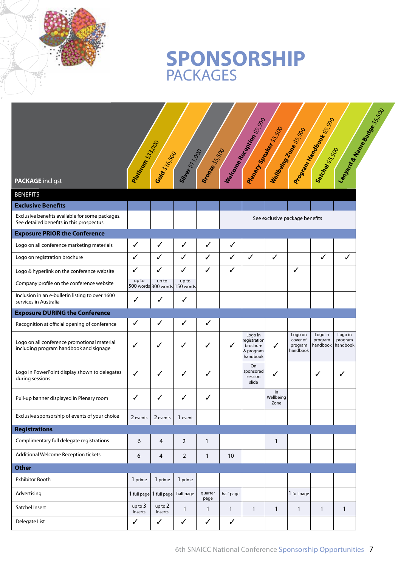

|                                                                                                                           |                    |                         |                                        |                      |              | Mercian Received Ms.55.00<br>Penalty Seewalk 15500           |                         | Wallberg Ramssis                           | Program Handbooks: 5:500       | Language Manus Readers 2500    |
|---------------------------------------------------------------------------------------------------------------------------|--------------------|-------------------------|----------------------------------------|----------------------|--------------|--------------------------------------------------------------|-------------------------|--------------------------------------------|--------------------------------|--------------------------------|
| <b>PACKAGE</b> incl gst                                                                                                   | Parino River       | Gold S16500             | Sites 511000                           | <b>Branch</b> SS-SOD |              |                                                              |                         |                                            | SateMelts500                   |                                |
| <b>BENEFITS</b>                                                                                                           |                    |                         |                                        |                      |              |                                                              |                         |                                            |                                |                                |
| <b>Exclusive Benefits</b><br>Exclusive benefits available for some packages.<br>See detailed benefits in this prospectus. |                    |                         |                                        |                      |              |                                                              |                         | See exclusive package benefits             |                                |                                |
| <b>Exposure PRIOR the Conference</b>                                                                                      |                    |                         |                                        |                      |              |                                                              |                         |                                            |                                |                                |
| Logo on all conference marketing materials                                                                                | $\checkmark$       | ✓                       | ✓                                      | ✓                    | $\checkmark$ |                                                              |                         |                                            |                                |                                |
| Logo on registration brochure                                                                                             | $\checkmark$       | $\checkmark$            | $\checkmark$                           | $\checkmark$         | $\checkmark$ | $\checkmark$                                                 | ✓                       |                                            | ✓                              | ✓                              |
| Logo & hyperlink on the conference website                                                                                | $\checkmark$       | ✓                       | $\checkmark$                           | ✓                    | $\checkmark$ |                                                              |                         | ✓                                          |                                |                                |
| Company profile on the conference website                                                                                 | up to              | up to                   | up to<br>500 words 300 words 150 words |                      |              |                                                              |                         |                                            |                                |                                |
| Inclusion in an e-bulletin listing to over 1600<br>services in Australia                                                  | $\checkmark$       | ✓                       | ✓                                      |                      |              |                                                              |                         |                                            |                                |                                |
| <b>Exposure DURING the Conference</b>                                                                                     |                    |                         |                                        |                      |              |                                                              |                         |                                            |                                |                                |
| Recognition at official opening of conference                                                                             | $\checkmark$       | $\checkmark$            | ✓                                      | ✓                    |              |                                                              |                         |                                            |                                |                                |
| Logo on all conference promotional material<br>including program handbook and signage                                     | ✓                  | ✓                       | ✓                                      | ✓                    |              | Logo in<br>registration<br>brochure<br>& program<br>handbook | ✓                       | Logo on<br>cover of<br>program<br>handbook | Logo in<br>program<br>handbook | Logo in<br>program<br>handbook |
| Logo in PowerPoint display shown to delegates<br>during sessions                                                          | ✓                  | ✓                       | ✓                                      | ✓                    |              | On<br>sponsored<br>session<br>slide                          | ✓                       |                                            | ✓                              | ✓                              |
| Pull-up banner displayed in Plenary room                                                                                  | ✓                  | ✓                       | ✓                                      | ✓                    |              |                                                              | In<br>Wellbeing<br>Zone |                                            |                                |                                |
| Exclusive sponsorship of events of your choice                                                                            | 2 events           | 2 events                | 1 event                                |                      |              |                                                              |                         |                                            |                                |                                |
| <b>Registrations</b>                                                                                                      |                    |                         |                                        |                      |              |                                                              |                         |                                            |                                |                                |
| Complimentary full delegate registrations                                                                                 | 6                  | $\overline{4}$          | $\overline{2}$                         | $\mathbf{1}$         |              |                                                              | $\mathbf{1}$            |                                            |                                |                                |
| Additional Welcome Reception tickets                                                                                      | 6                  | 4                       | $\overline{2}$                         | $\mathbf{1}$         | 10           |                                                              |                         |                                            |                                |                                |
| <b>Other</b>                                                                                                              |                    |                         |                                        |                      |              |                                                              |                         |                                            |                                |                                |
| <b>Exhibitor Booth</b>                                                                                                    | 1 prime            | 1 prime                 | 1 prime                                |                      |              |                                                              |                         |                                            |                                |                                |
| Advertising                                                                                                               |                    | 1 full page 1 full page | half page                              | quarter<br>page      | half page    |                                                              |                         | 1 full page                                |                                |                                |
| Satchel Insert                                                                                                            | up to 3<br>inserts | up to 2<br>inserts      | $\mathbf{1}$                           | $\mathbf{1}$         | $\mathbf{1}$ | $\mathbf{1}$                                                 | $\mathbf{1}$            | 1                                          | $\mathbf{1}$                   | $\mathbf{1}$                   |
| Delegate List                                                                                                             | $\checkmark$       | $\checkmark$            | $\checkmark$                           | $\checkmark$         | $\checkmark$ |                                                              |                         |                                            |                                |                                |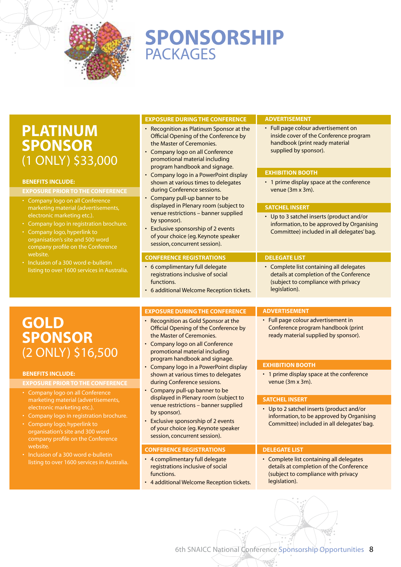

### **SPONSORSHIP PACKAGES**

### **PLATINUM SPONSOR**  (1 ONLY) \$33,000

#### **Benefits Include:**

#### **Exposure prior to the Conference**

- • Company logo on all Conference marketing material (advertisements, electronic marketing etc.).
- Company logo in registration brochure.
- • Company logo, hyperlink to organisation's site and 500 word company profile on the Conference website.
- Inclusion of a 300 word e-bulletin listing to over 1600 services in Australia.

#### **EXPOSURE DURING THE CONFERENCE**

- • Recognition as Platinum Sponsor at the Official Opening of the Conference by the Master of Ceremonies.
- • Company logo on all Conference promotional material including program handbook and signage.
- Company logo in a PowerPoint display shown at various times to delegates during Conference sessions.
- Company pull-up banner to be displayed in Plenary room (subject to venue restrictions – banner supplied by sponsor).
- Exclusive sponsorship of 2 events of your choice (eg. Keynote speaker session, concurrent session).

#### **Conference Registrations**

- 6 complimentary full delegate registrations inclusive of social functions.
- • 6 additional Welcome Reception tickets.

#### **EXPOSURE DURING THE CONFERENCE**

- Recognition as Gold Sponsor at the Official Opening of the Conference by the Master of Ceremonies.
- • Company logo on all Conference promotional material including program handbook and signage.
- Company logo in a PowerPoint display shown at various times to delegates during Conference sessions.
- Company pull-up banner to be displayed in Plenary room (subject to venue restrictions – banner supplied by sponsor).
- Exclusive sponsorship of 2 events of your choice (eg. Keynote speaker session, concurrent session).

#### **Conference Registrations**

- 4 complimentary full delegate registrations inclusive of social functions.
- 4 additional Welcome Reception tickets.

#### **Advertisement**

• Full page colour advertisement on inside cover of the Conference program handbook (print ready material supplied by sponsor).

#### **Exhibition Booth**

• 1 prime display space at the conference venue (3m x 3m).

#### **Satchel Insert**

• Up to 3 satchel inserts (product and/or information, to be approved by Organising Committee) included in all delegates' bag.

#### **Delegate List**

• Complete list containing all delegates details at completion of the Conference (subject to compliance with privacy legislation).

#### **Advertisement**

• Full page colour advertisement in Conference program handbook (print ready material supplied by sponsor).

#### **Exhibition Booth**

• 1 prime display space at the conference venue (3m x 3m).

#### **Satchel Insert**

• Up to 2 satchel inserts (product and/or information, to be approved by Organising Committee) included in all delegates' bag.

#### **Delegate List**

• Complete list containing all delegates details at completion of the Conference (subject to compliance with privacy legislation).

**GOLD SPONSOR**  (2 ONLY) \$16,500

#### **Benefits Include:**

#### **Exposure prior to the Conference**

- • Company logo on all Conference marketing material (advertisements, electronic marketing etc.).
- • Company logo in registration brochure.
- • Company logo, hyperlink to organisation's site and 300 word company profile on the Conference website.
- Inclusion of a 300 word e-bulletin listing to over 1600 services in Australia.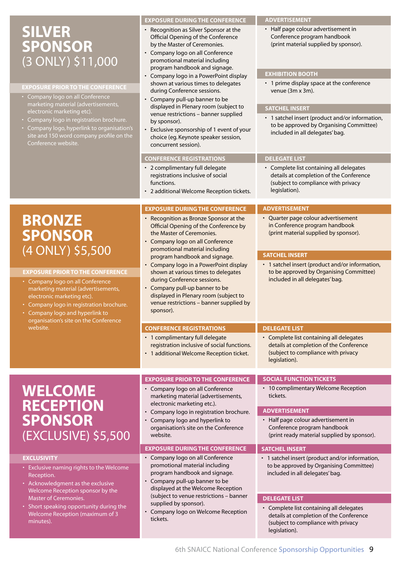### **SILVER SPONSOR**  (3 ONLY) \$11,000

#### **Exposure prior to the Conference**

- Company logo on all Conference marketing material (advertisements, electronic marketing etc).
- Company logo in registration brochure.
- • Company logo, hyperlink to organisation's site and 150 word company profile on the Conference website.

#### **EXPOSURE DURING THE CONFERENCE**

- • Recognition as Silver Sponsor at the Official Opening of the Conference by the Master of Ceremonies.
- • Company logo on all Conference promotional material including program handbook and signage.
- Company logo in a PowerPoint display shown at various times to delegates during Conference sessions.
- Company pull-up banner to be displayed in Plenary room (subject to venue restrictions – banner supplied by sponsor).
- Exclusive sponsorship of 1 event of your choice (eg. Keynote speaker session, concurrent session).

#### **Conference Registrations**

- 2 complimentary full delegate registrations inclusive of social functions.
- 2 additional Welcome Reception tickets.

#### **EXPOSURE DURING THE CONFERENCE**

- • Recognition as Bronze Sponsor at the Official Opening of the Conference by the Master of Ceremonies.
- • Company logo on all Conference promotional material including program handbook and signage.
- Company logo in a PowerPoint display shown at various times to delegates during Conference sessions.
- Company pull-up banner to be displayed in Plenary room (subject to venue restrictions – banner supplied by sponsor).

#### **CONFERENCE REGISTRATIONS**

- 1 complimentary full delegate registration inclusive of social functions.
- 1 additional Welcome Reception ticket.

• Company logo in registration brochure. • Company logo and hyperlink to organisation's site on the Conference

**EXPOSURE DURING THE CONFERENCE** • Company logo on all Conference promotional material including program handbook and signage. • Company pull-up banner to be displayed at the Welcome Reception (subject to venue restrictions – banner

Company logo on Welcome Reception

• Company logo on all Conference

electronic marketing etc.).

supplied by sponsor).

website.

tickets.

### **WELCOME RECEPTION SPONSOR** (EXCLUSIVE) \$5,500

#### **Exclusivity**

- Exclusive naming rights to the Welcome Reception.
- Acknowledgment as the exclusive Welcome Reception sponsor by the Master of Ceremonies.
- Short speaking opportunity during the Welcome Reception (maximum of 3 minutes).

#### details at completion of the Conference (subject to compliance with privacy legislation).

• Complete list containing all delegates

• Quarter page colour advertisement in Conference program handbook (print material supplied by sponsor).

• Complete list containing all delegates details at completion of the Conference (subject to compliance with privacy

included in all delegates' bag.

included in all delegates' bag.

• 1 satchel insert (product and/or information, to be approved by Organising Committee)

#### **Social Function Tickets** • 10 complimentary Welcome Reception tickets. **Exposure prior to the Conference** marketing material (advertisements,

#### **Advertisement**

**Delegate List**

**Advertisement**

legislation).

**Delegate List**

**Advertisement**

**Exhibition Booth**

venue (3m x 3m).

**Satchel Insert**

• Half page colour advertisement in Conference program handbook (print material supplied by sponsor).

• 1 prime display space at the conference

• 1 satchel insert (product and/or information, to be approved by Organising Committee)

**Satchel Insert**

• Half page colour advertisement in Conference program handbook (print ready material supplied by sponsor).

#### **Satchel Insert**

• 1 satchel insert (product and/or information, to be approved by Organising Committee) included in all delegates' bag.

#### **Delegate List**

• Complete list containing all delegates details at completion of the Conference (subject to compliance with privacy legislation).

### **BRONZE SPONSOR**  (4 ONLY) \$5,500

#### **Exposure prior to the Conference**

- • Company logo on all Conference marketing material (advertisements, electronic marketing etc).
- Company logo in registration brochure.
- • Company logo and hyperlink to organisation's site on the Conference<br>website.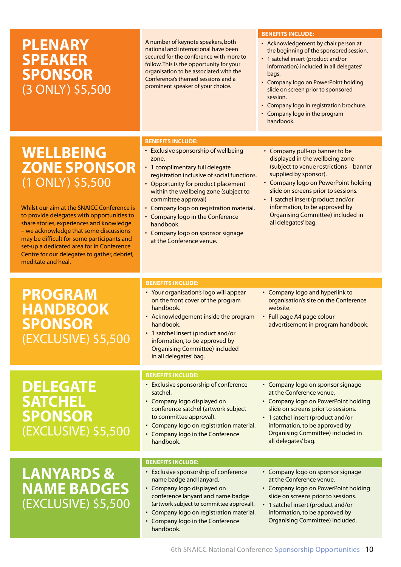### **PLENARY SPEAKER SPONSOR** (3 ONLY) \$5,500

A number of keynote speakers, both national and international have been secured for the conference with more to follow. This is the opportunity for your organisation to be associated with the Conference's themed sessions and a prominent speaker of your choice.

#### **Benefits Include:**

- Acknowledgement by chair person at the beginning of the sponsored session.
- 1 satchel insert (product and/or information) included in all delegates' bags.
- Company logo on PowerPoint holding slide on screen prior to sponsored session.
- Company logo in registration brochure.
- Company logo in the program handbook.

### **WELLBEING ZONE SPONSOR** (1 ONLY) \$5,500

Whilst our aim at the SNAICC Conference is to provide delegates with opportunities to share stories, experiences and knowledge – we acknowledge that some discussions may be difficult for some participants and set-up a dedicated area for in Conference Centre for our delegates to gather, debrief, meditate and heal.

### **PROGRAM HANDBOOK SPONSOR** (EXCLUSIVE) \$5,500

### **DELEGATE SATCHEL SPONSOR**  (EXCLUSIVE) \$5,500

### **LANYARDS & NAME BADGES**  (EXCLUSIVE) \$5,500

#### **Benefits Include:**

- Exclusive sponsorship of wellbeing zone.
- 1 complimentary full delegate registration inclusive of social functions.
- Opportunity for product placement within the wellbeing zone (subject to committee approval)
- Company logo on registration material.
- Company logo in the Conference handbook.
- Company logo on sponsor signage at the Conference venue.
- Company pull-up banner to be displayed in the wellbeing zone (subject to venue restrictions – banner supplied by sponsor).
- Company logo on PowerPoint holding slide on screens prior to sessions.
- 1 satchel insert (product and/or information, to be approved by Organising Committee) included in all delegates' bag.

#### **Benefits Include:**

- Your organisation's logo will appear on the front cover of the program handbook.
- Acknowledgement inside the program handbook.
- 1 satchel insert (product and/or information, to be approved by Organising Committee) included in all delegates' bag.
- Company logo and hyperlink to organisation's site on the Conference website.
- Full page A4 page colour advertisement in program handbook.

### **Benefits Include:**

- Exclusive sponsorship of conference satchel.
- Company logo displayed on conference satchel (artwork subject to committee approval).
- Company logo on registration material. • Company logo in the Conference
- handbook.

#### **Benefits Include:**

- Exclusive sponsorship of conference name badge and lanyard.
- Company logo displayed on conference lanyard and name badge (artwork subject to committee approval).
- Company logo on registration material.
- • Company logo in the Conference handbook.

• Company logo on PowerPoint holding slide on screens prior to sessions.

• Company logo on sponsor signage at the Conference venue.

- 1 satchel insert (product and/or information, to be approved by Organising Committee) included in all delegates' bag.
- Company logo on sponsor signage at the Conference venue.
- Company logo on PowerPoint holding slide on screens prior to sessions.
- • 1 satchel insert (product and/or information, to be approved by Organising Committee) included.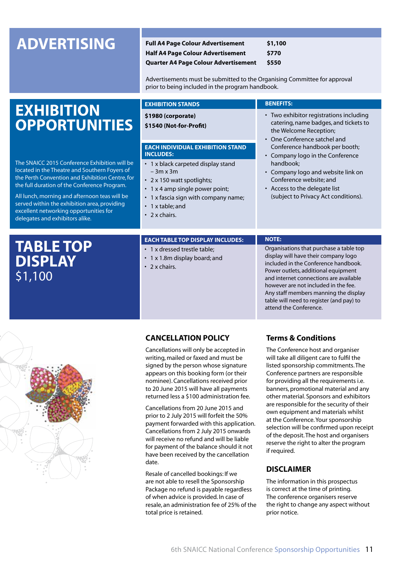**ADVERTISING Full A4 Page Colour Advertisement \$1,100 Half A4 Page Colour Advertisement Quarter A4 Page Colour Advertisement \$550**

> Advertisements must be submitted to the Organising Committee for approval prior to being included in the program handbook.

#### **EXHIBITION OPPORTUNITIES Each individual exhibition stand includes:** • 1 x black carpeted display stand – 3m x 3m • 2 x 150 watt spotlights;  $\cdot$  1 x 4 amp single power point; • 1 x fascia sign with company name;  $\cdot$  1 x table; and  $\cdot$  2 x chairs. **Exhibition Stands \$1980 (corporate) \$1540 (Not-for-Profit) Benefits:** • Two exhibitor registrations including catering, name badges, and tickets to the Welcome Reception; • One Conference satchel and Conference handbook per booth; Company logo in the Conference handbook; Company logo and website link on Conference website; and Access to the delegate list (subject to Privacy Act conditions). The SNAICC 2015 Conference Exhibition will be located in the Theatre and Southern Foyers of the Perth Convention and Exhibition Centre, for the full duration of the Conference Program. All lunch, morning and afternoon teas will be served within the exhibition area, providing excellent networking opportunities for delegates and exhibitors alike. **Table Top Display** \$1,100 **EACH TABLE TOP DISPLAY INCLUDES:** • 1 x dressed trestle table: • 1 x 1.8m display board; and  $\cdot$  2 x chairs. **Note:**  Organisations that purchase a table top display will have their company logo included in the Conference handbook. Power outlets, additional equipment and internet connections are available



#### **CANCELLATION POLICY**

Cancellations will only be accepted in writing, mailed or faxed and must be signed by the person whose signature appears on this booking form (or their nominee). Cancellations received prior to 20 June 2015 will have all payments returned less a \$100 administration fee.

Cancellations from 20 June 2015 and prior to 2 July 2015 will forfeit the 50% payment forwarded with this application. Cancellations from 2 July 2015 onwards will receive no refund and will be liable for payment of the balance should it not have been received by the cancellation date.

Resale of cancelled bookings: If we are not able to resell the Sponsorship Package no refund is payable regardless of when advice is provided. In case of resale, an administration fee of 25% of the total price is retained.

#### **Terms & Conditions**

attend the Conference.

however are not included in the fee. Any staff members manning the display table will need to register (and pay) to

The Conference host and organiser will take all diligent care to fulfil the listed sponsorship commitments. The Conference partners are responsible for providing all the requirements i.e. banners, promotional material and any other material. Sponsors and exhibitors are responsible for the security of their own equipment and materials whilst at the Conference.Your sponsorship selection will be confirmed upon receipt of the deposit. The host and organisers reserve the right to alter the program if required.

#### **DISCLAIMER**

The information in this prospectus is correct at the time of printing. The conference organisers reserve the right to change any aspect without prior notice.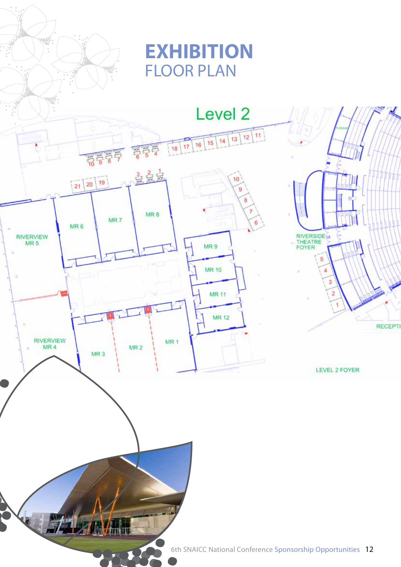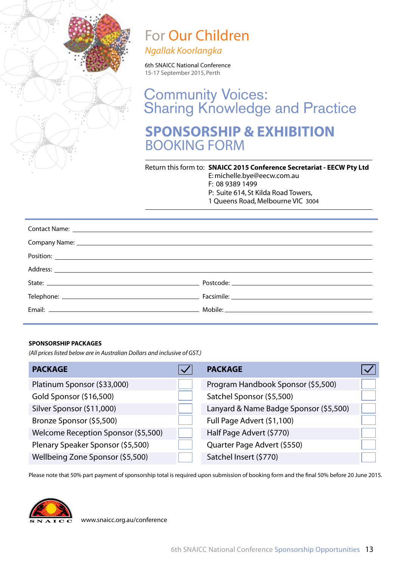

# For Our Children

*Ngallak Koorlangka*

6th SNAICC National Conference 15-17 September 2015, Perth

**SPONSORSHIP & EXHIBITION**  BOOKING FORM Community Voices: **Sharing Knowledge and Practice** 

Return this form to: **SNAICC 2015 Conference Secretariat - EECW Pty Ltd** E: michelle.bye@eecw.com.au F: 08 9389 1499 P: Suite 614, St Kilda Road Towers, 1 Queens Road, Melbourne VIC 3004

| Postcode: will be a series of the series of the series of the series of the series of the series of the series |
|----------------------------------------------------------------------------------------------------------------|
|                                                                                                                |
|                                                                                                                |

#### **Sponsorship Packages**

*(All prices listed below are in Australian Dollars and inclusive of GST.)*

| <b>PACKAGE</b>                      | <b>PACKAGE</b>                         |  |
|-------------------------------------|----------------------------------------|--|
| Platinum Sponsor (\$33,000)         | Program Handbook Sponsor (\$5,500)     |  |
| Gold Sponsor (\$16,500)             | Satchel Sponsor (\$5,500)              |  |
| Silver Sponsor (\$11,000)           | Lanyard & Name Badge Sponsor (\$5,500) |  |
| Bronze Sponsor (\$5,500)            | Full Page Advert (\$1,100)             |  |
| Welcome Reception Sponsor (\$5,500) | Half Page Advert (\$770)               |  |
| Plenary Speaker Sponsor (\$5,500)   | Quarter Page Advert (\$550)            |  |
| Wellbeing Zone Sponsor (\$5,500)    | Satchel Insert (\$770)                 |  |

Please note that 50% part payment of sponsorship total is required upon submission of booking form and the final 50% before 20 June 2015.



<www.snaicc.org.au/conference>